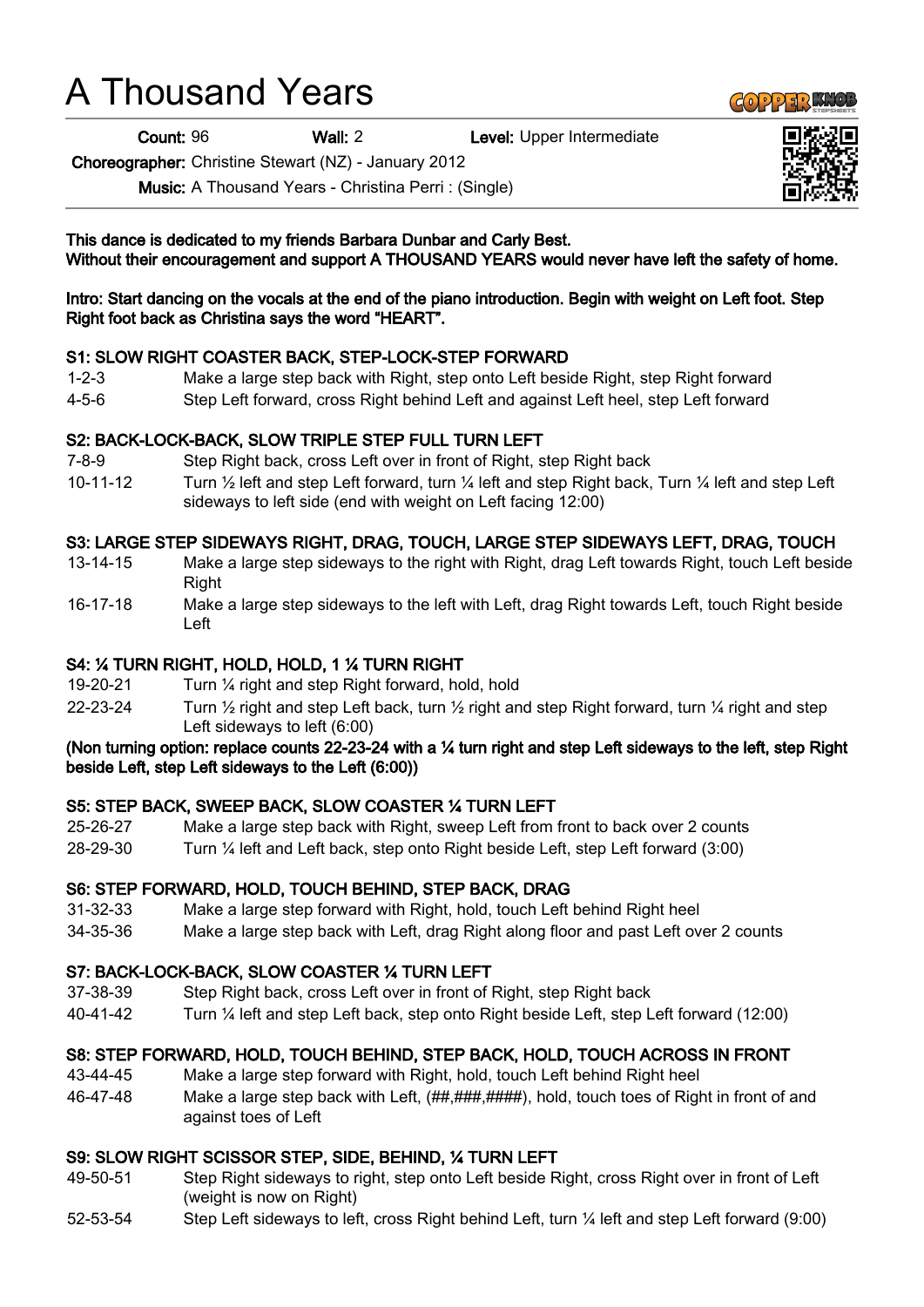# A Thousand Years

Count: 96 Wall: 2 Level: Upper Intermediate

Choreographer: Christine Stewart (NZ) - January 2012

Music: A Thousand Years - Christina Perri : (Single)

This dance is dedicated to my friends Barbara Dunbar and Carly Best. Without their encouragement and support A THOUSAND YEARS would never have left the safety of home.

Intro: Start dancing on the vocals at the end of the piano introduction. Begin with weight on Left foot. Step Right foot back as Christina says the word "HEART".

#### S1: SLOW RIGHT COASTER BACK, STEP-LOCK-STEP FORWARD

- 1-2-3 Make a large step back with Right, step onto Left beside Right, step Right forward
- 4-5-6 Step Left forward, cross Right behind Left and against Left heel, step Left forward

# S2: BACK-LOCK-BACK, SLOW TRIPLE STEP FULL TURN LEFT

- 7-8-9 Step Right back, cross Left over in front of Right, step Right back
- 10-11-12 Turn ½ left and step Left forward, turn ¼ left and step Right back, Turn ¼ left and step Left sideways to left side (end with weight on Left facing 12:00)

# S3: LARGE STEP SIDEWAYS RIGHT, DRAG, TOUCH, LARGE STEP SIDEWAYS LEFT, DRAG, TOUCH

- 13-14-15 Make a large step sideways to the right with Right, drag Left towards Right, touch Left beside Right
- 16-17-18 Make a large step sideways to the left with Left, drag Right towards Left, touch Right beside Left

# S4: ¼ TURN RIGHT, HOLD, HOLD, 1 ¼ TURN RIGHT

- 19-20-21 Turn ¼ right and step Right forward, hold, hold
- 22-23-24 Turn  $\frac{1}{2}$  right and step Left back, turn  $\frac{1}{2}$  right and step Right forward, turn  $\frac{1}{4}$  right and step Left sideways to left (6:00)

#### (Non turning option: replace counts 22-23-24 with a ¼ turn right and step Left sideways to the left, step Right beside Left, step Left sideways to the Left (6:00))

# S5: STEP BACK, SWEEP BACK, SLOW COASTER ¼ TURN LEFT

- 25-26-27 Make a large step back with Right, sweep Left from front to back over 2 counts
- 28-29-30 Turn ¼ left and Left back, step onto Right beside Left, step Left forward (3:00)

# S6: STEP FORWARD, HOLD, TOUCH BEHIND, STEP BACK, DRAG

- 31-32-33 Make a large step forward with Right, hold, touch Left behind Right heel
- 34-35-36 Make a large step back with Left, drag Right along floor and past Left over 2 counts

#### S7: BACK-LOCK-BACK, SLOW COASTER ¼ TURN LEFT

- 37-38-39 Step Right back, cross Left over in front of Right, step Right back
- 40-41-42 Turn ¼ left and step Left back, step onto Right beside Left, step Left forward (12:00)

# S8: STEP FORWARD, HOLD, TOUCH BEHIND, STEP BACK, HOLD, TOUCH ACROSS IN FRONT

- 43-44-45 Make a large step forward with Right, hold, touch Left behind Right heel
- 46-47-48 Make a large step back with Left,  $\left(\frac{H\mu}{H\mu}\right,\frac{H\mu}{H\mu}}\right)$ , hold, touch toes of Right in front of and against toes of Left

# S9: SLOW RIGHT SCISSOR STEP, SIDE, BEHIND, ¼ TURN LEFT

- 49-50-51 Step Right sideways to right, step onto Left beside Right, cross Right over in front of Left (weight is now on Right)
- 52-53-54 Step Left sideways to left, cross Right behind Left, turn ¼ left and step Left forward (9:00)



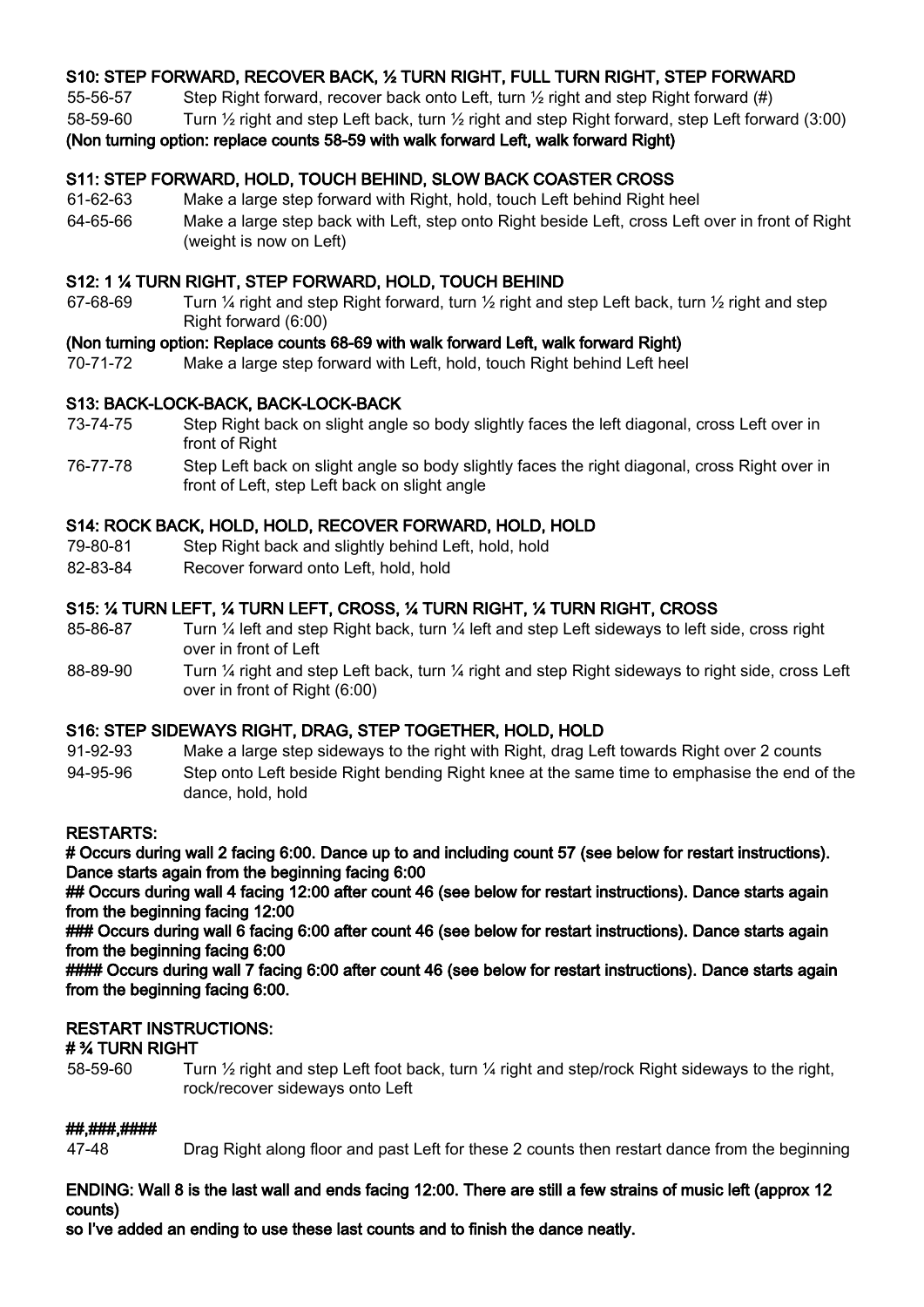# S10: STEP FORWARD, RECOVER BACK, ½ TURN RIGHT, FULL TURN RIGHT, STEP FORWARD

55-56-57 Step Right forward, recover back onto Left, turn ½ right and step Right forward (#)

58-59-60 Turn ½ right and step Left back, turn ½ right and step Right forward, step Left forward (3:00)

# (Non turning option: replace counts 58-59 with walk forward Left, walk forward Right)

# S11: STEP FORWARD, HOLD, TOUCH BEHIND, SLOW BACK COASTER CROSS

61-62-63 Make a large step forward with Right, hold, touch Left behind Right heel 64-65-66 Make a large step back with Left, step onto Right beside Left, cross Left over in front of Right (weight is now on Left)

# S12: 1 ¼ TURN RIGHT, STEP FORWARD, HOLD, TOUCH BEHIND

67-68-69 Turn ¼ right and step Right forward, turn ½ right and step Left back, turn ½ right and step Right forward (6:00)

# (Non turning option: Replace counts 68-69 with walk forward Left, walk forward Right)

70-71-72 Make a large step forward with Left, hold, touch Right behind Left heel

# S13: BACK-LOCK-BACK, BACK-LOCK-BACK

- 73-74-75 Step Right back on slight angle so body slightly faces the left diagonal, cross Left over in front of Right
- 76-77-78 Step Left back on slight angle so body slightly faces the right diagonal, cross Right over in front of Left, step Left back on slight angle

#### S14: ROCK BACK, HOLD, HOLD, RECOVER FORWARD, HOLD, HOLD

- 79-80-81 Step Right back and slightly behind Left, hold, hold
- 82-83-84 Recover forward onto Left, hold, hold

# S15: ¼ TURN LEFT, ¼ TURN LEFT, CROSS, ¼ TURN RIGHT, ¼ TURN RIGHT, CROSS

- 85-86-87 Turn 1/4 left and step Right back, turn 1/4 left and step Left sideways to left side, cross right over in front of Left
- 88-89-90 Turn 1/4 right and step Left back, turn 1/4 right and step Right sideways to right side, cross Left over in front of Right (6:00)

# S16: STEP SIDEWAYS RIGHT, DRAG, STEP TOGETHER, HOLD, HOLD

- 91-92-93 Make a large step sideways to the right with Right, drag Left towards Right over 2 counts
- 94-95-96 Step onto Left beside Right bending Right knee at the same time to emphasise the end of the dance, hold, hold

# RESTARTS:

# Occurs during wall 2 facing 6:00. Dance up to and including count 57 (see below for restart instructions). Dance starts again from the beginning facing 6:00

## Occurs during wall 4 facing 12:00 after count 46 (see below for restart instructions). Dance starts again from the beginning facing 12:00

### Occurs during wall 6 facing 6:00 after count 46 (see below for restart instructions). Dance starts again from the beginning facing 6:00

#### Occurs during wall 7 facing 6:00 after count 46 (see below for restart instructions). Dance starts again from the beginning facing 6:00.

# RESTART INSTRUCTIONS:

# # ¾ TURN RIGHT

58-59-60 Turn ½ right and step Left foot back, turn ¼ right and step/rock Right sideways to the right, rock/recover sideways onto Left

#### ##,###,####

47-48 Drag Right along floor and past Left for these 2 counts then restart dance from the beginning

# ENDING: Wall 8 is the last wall and ends facing 12:00. There are still a few strains of music left (approx 12 counts)

so I've added an ending to use these last counts and to finish the dance neatly.